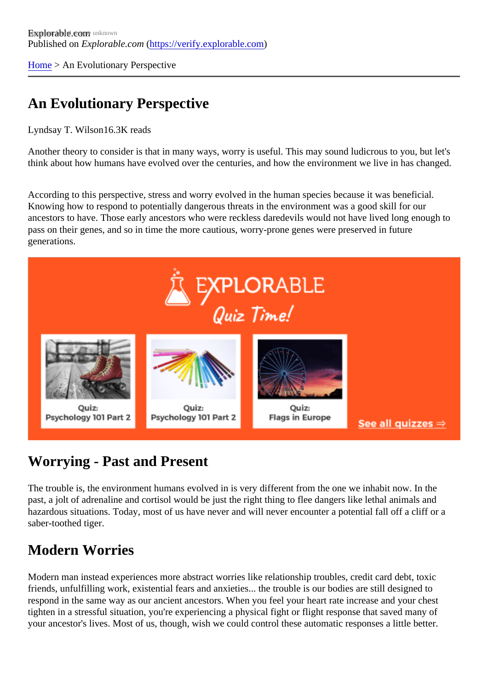[Home](https://verify.explorable.com/) > An Evolutionary Perspective

## An Evolutionary Perspective

Lyndsay T. Wilson 6.3K reads

Another theory to consider is that in many ways, worry is useful. This may sound ludicrous to you, but let's think about how humans have evolved over the centuries, and how the environment we live in has change

According to this perspective, stress and worry evolved in the human species because it was beneficial. Knowing how to respond to potentially dangerous threats in the environment was a good skill for our ancestors to have. Those early ancestors who were reckless daredevils would not have lived long enough pass on their genes, and so in time the more cautious, worry-prone genes were preserved in future generations.

## Worrying - Past and Present

The trouble is, the environment humans evolved in is very different from the one we inhabit now. In the past, a jolt of adrenaline and cortisol would be just the right thing to flee dangers like lethal animals and hazardous situations. Today, most of us have never and will never encounter a potential fall off a cliff or a saber-toothed tiger.

## Modern Worries

Modern man instead experiences more abstract worries like relationship troubles, credit card debt, toxic friends, unfulfilling work, existential fears and anxieties... the trouble is our bodies are still designed to respond in the same way as our ancient ancestors. When you feel your heart rate increase and your chest tighten in a stressful situation, you're experiencing a physical fight or flight response that saved many of your ancestor's lives. Most of us, though, wish we could control these automatic responses a little better.